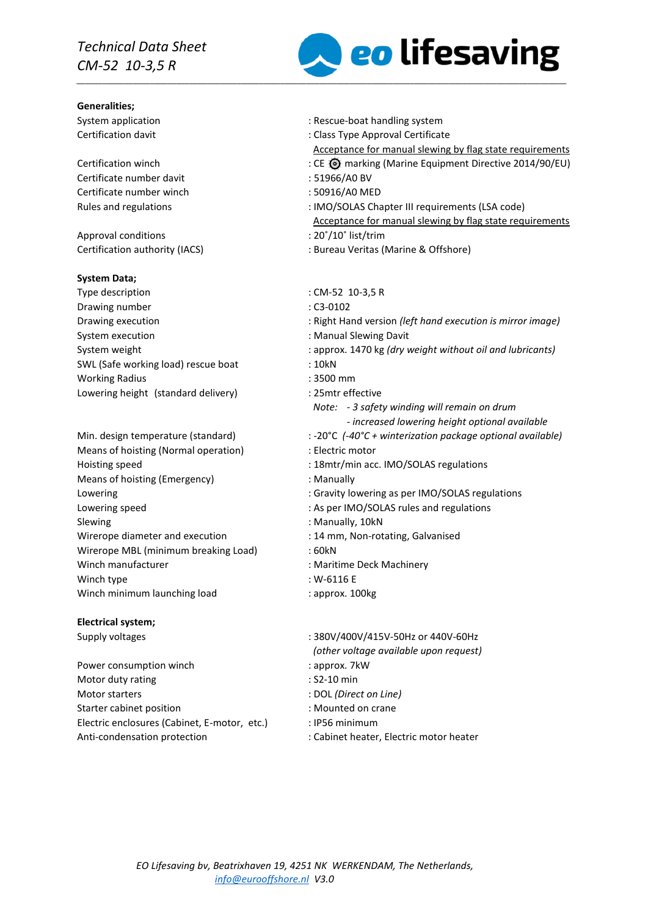# *Technical Data Sheet CM-52 10-3,5 R*

#### **Generalities;**

Certificate number davit : 51966/A0 BV Certificate number winch : 50916/A0 MED

Approval conditions  $\cdot$  20°/10° list/trim Certification authority (IACS) : Bureau Veritas (Marine & Offshore)

#### **System Data;**

- Type description  $\cdot$  CM-52 10-3,5 R Drawing number : C3-0102 System execution  $\blacksquare$ SWL (Safe working load) rescue boat : 10kN Working Radius : 3500 mm Lowering height (standard delivery) : 25mtr effective
- Means of hoisting (Normal operation) : Electric motor Means of hoisting (Emergency) **interpreteral** the Manually Lowering speed  $\blacksquare$ : As per IMO/SOLAS rules and regulations Slewing : Manually, 10kN Wirerope diameter and execution : 14 mm, Non-rotating, Galvanised Wirerope MBL (minimum breaking Load) : 60kN Winch manufacturer **in the U.S. A. Maritime Deck Machinery** : Maritime Deck Machinery Winch type  $\sim$  Winch type  $\sim$  W-6116 E Winch minimum launching load : approx. 100kg

#### **Electrical system;**

Power consumption winch  $\blacksquare$  : approx. 7kW Motor duty rating in the set of the set of the set of the set of the set of the set of the set of the set of the set of the set of the set of the set of the set of the set of the set of the set of the set of the set of the Motor starters : DOL *(Direct on Line)* Starter cabinet position **Starter cabinet position in the case of the CS** in Mounted on crane Electric enclosures (Cabinet, E-motor, etc.) : IP56 minimum Anti-condensation protection  $\qquad \qquad$ : Cabinet heater, Electric motor heater



System application  $\sim$  Rescue-boat handling system

Certification davit **CERTIFICATE:** Class Type Approval Certificate

- Acceptance for manual slewing by flag state requirements
- CE @ marking (Marine Equipment Directive 2014/90/EU) : CE @ marking (Marine Equipment Directive 2014/90/EU)
	-
	-
- Rules and regulations  $\cdot$  : IMO/SOLAS Chapter III requirements (LSA code) Acceptance for manual slewing by flag state requirements
	-
	-
- Drawing execution : Right Hand version *(left hand execution is mirror image)* System weight : approx. 1470 kg *(dry weight without oil and lubricants) Note: - 3 safety winding will remain on drum - increased lowering height optional available*  Min. design temperature (standard) : -20°C *(-40°C + winterization package optional available)* Hoisting speed  $\qquad \qquad$  : 18mtr/min acc. IMO/SOLAS regulations Lowering the contract of the contract of Gravity lowering as per IMO/SOLAS regulations
	-
	-
	- -
	-
	-
- Supply voltages : 380V/400V/415V-50Hz or 440V-60Hz *(other voltage available upon request)*
	-